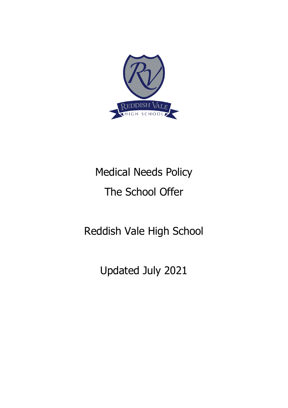

# Medical Needs Policy The School Offer

Reddish Vale High School

Updated July 2021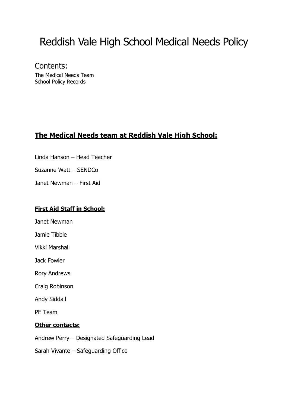## Reddish Vale High School Medical Needs Policy

Contents: The Medical Needs Team School Policy Records

## **The Medical Needs team at Reddish Vale High School:**

- Linda Hanson Head Teacher
- Suzanne Watt SENDCo
- Janet Newman First Aid

#### **First Aid Staff in School:**

- Janet Newman
- Jamie Tibble
- Vikki Marshall
- Jack Fowler
- Rory Andrews
- Craig Robinson
- Andy Siddall
- PE Team

#### **Other contacts:**

- Andrew Perry Designated Safeguarding Lead
- Sarah Vivante Safeguarding Office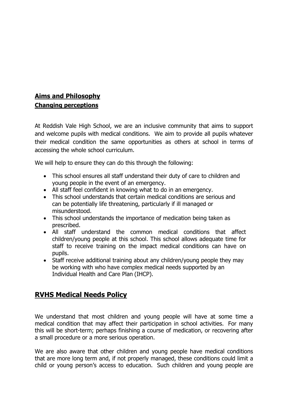## **Aims and Philosophy Changing perceptions**

At Reddish Vale High School, we are an inclusive community that aims to support and welcome pupils with medical conditions. We aim to provide all pupils whatever their medical condition the same opportunities as others at school in terms of accessing the whole school curriculum.

We will help to ensure they can do this through the following:

- This school ensures all staff understand their duty of care to children and young people in the event of an emergency.
- All staff feel confident in knowing what to do in an emergency.
- This school understands that certain medical conditions are serious and can be potentially life threatening, particularly if ill managed or misunderstood.
- This school understands the importance of medication being taken as prescribed.
- All staff understand the common medical conditions that affect children/young people at this school. This school allows adequate time for staff to receive training on the impact medical conditions can have on pupils.
- Staff receive additional training about any children/young people they may be working with who have complex medical needs supported by an Individual Health and Care Plan (IHCP).

### **RVHS Medical Needs Policy**

We understand that most children and young people will have at some time a medical condition that may affect their participation in school activities. For many this will be short-term; perhaps finishing a course of medication, or recovering after a small procedure or a more serious operation.

We are also aware that other children and young people have medical conditions that are more long term and, if not properly managed, these conditions could limit a child or young person's access to education. Such children and young people are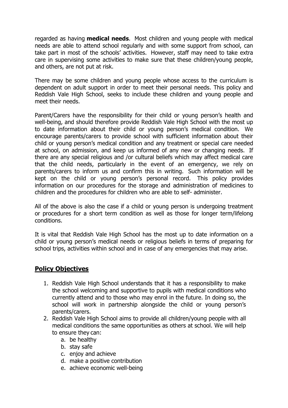regarded as having **medical needs**. Most children and young people with medical needs are able to attend school regularly and with some support from school, can take part in most of the schools' activities. However, staff may need to take extra care in supervising some activities to make sure that these children/young people, and others, are not put at risk.

There may be some children and young people whose access to the curriculum is dependent on adult support in order to meet their personal needs. This policy and Reddish Vale High School, seeks to include these children and young people and meet their needs.

Parent/Carers have the responsibility for their child or young person's health and well-being, and should therefore provide Reddish Vale High School with the most up to date information about their child or young person's medical condition. We encourage parents/carers to provide school with sufficient information about their child or young person's medical condition and any treatment or special care needed at school, on admission, and keep us informed of any new or changing needs. If there are any special religious and /or cultural beliefs which may affect medical care that the child needs, particularly in the event of an emergency, we rely on parents/carers to inform us and confirm this in writing. Such information will be kept on the child or young person's personal record. This policy provides information on our procedures for the storage and administration of medicines to children and the procedures for children who are able to self- administer.

All of the above is also the case if a child or young person is undergoing treatment or procedures for a short term condition as well as those for longer term/lifelong conditions.

It is vital that Reddish Vale High School has the most up to date information on a child or young person's medical needs or religious beliefs in terms of preparing for school trips, activities within school and in case of any emergencies that may arise.

#### **Policy Objectives**

- 1. Reddish Vale High School understands that it has a responsibility to make the school welcoming and supportive to pupils with medical conditions who currently attend and to those who may enrol in the future. In doing so, the school will work in partnership alongside the child or young person's parents/carers.
- 2. Reddish Vale High School aims to provide all children/young people with all medical conditions the same opportunities as others at school. We will help to ensure they can:
	- a. be healthy
	- b. stay safe
	- c. enjoy and achieve
	- d. make a positive contribution
	- e. achieve economic well-being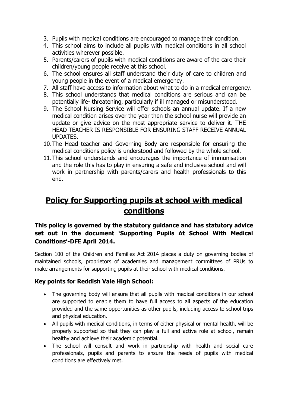- 3. Pupils with medical conditions are encouraged to manage their condition.
- 4. This school aims to include all pupils with medical conditions in all school activities wherever possible.
- 5. Parents/carers of pupils with medical conditions are aware of the care their children/young people receive at this school.
- 6. The school ensures all staff understand their duty of care to children and young people in the event of a medical emergency.
- 7. All staff have access to information about what to do in a medical emergency.
- 8. This school understands that medical conditions are serious and can be potentially life- threatening, particularly if ill managed or misunderstood.
- 9. The School Nursing Service will offer schools an annual update. If a new medical condition arises over the year then the school nurse will provide an update or give advice on the most appropriate service to deliver it. THE HEAD TEACHER IS RESPONSIBLE FOR ENSURING STAFF RECEIVE ANNUAL UPDATES.
- 10.The Head teacher and Governing Body are responsible for ensuring the medical conditions policy is understood and followed by the whole school.
- 11.This school understands and encourages the importance of immunisation and the role this has to play in ensuring a safe and inclusive school and will work in partnership with parents/carers and health professionals to this end.

## **Policy for Supporting pupils at school with medical conditions**

#### **This policy is governed by the statutory guidance and has statutory advice set out in the document 'Supporting Pupils At School With Medical Conditions'-DFE April 2014.**

Section 100 of the Children and Families Act 2014 places a duty on governing bodies of maintained schools, proprietors of academies and management committees of PRUs to make arrangements for supporting pupils at their school with medical conditions.

#### **Key points for Reddish Vale High School:**

- The governing body will ensure that all pupils with medical conditions in our school are supported to enable them to have full access to all aspects of the education provided and the same opportunities as other pupils, including access to school trips and physical education.
- All pupils with medical conditions, in terms of either physical or mental health, will be properly supported so that they can play a full and active role at school, remain healthy and achieve their academic potential.
- The school will consult and work in partnership with health and social care professionals, pupils and parents to ensure the needs of pupils with medical conditions are effectively met.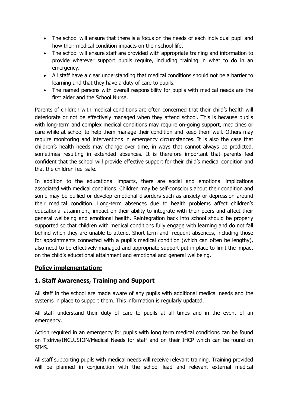- The school will ensure that there is a focus on the needs of each individual pupil and how their medical condition impacts on their school life.
- The school will ensure staff are provided with appropriate training and information to provide whatever support pupils require, including training in what to do in an emergency.
- All staff have a clear understanding that medical conditions should not be a barrier to learning and that they have a duty of care to pupils.
- The named persons with overall responsibility for pupils with medical needs are the first aider and the School Nurse.

Parents of children with medical conditions are often concerned that their child's health will deteriorate or not be effectively managed when they attend school. This is because pupils with long-term and complex medical conditions may require on-going support, medicines or care while at school to help them manage their condition and keep them well. Others may require monitoring and interventions in emergency circumstances. It is also the case that children's health needs may change over time, in ways that cannot always be predicted, sometimes resulting in extended absences. It is therefore important that parents feel confident that the school will provide effective support for their child's medical condition and that the children feel safe.

In addition to the educational impacts, there are social and emotional implications associated with medical conditions. Children may be self-conscious about their condition and some may be bullied or develop emotional disorders such as anxiety or depression around their medical condition. Long-term absences due to health problems affect children's educational attainment, impact on their ability to integrate with their peers and affect their general wellbeing and emotional health. Reintegration back into school should be properly supported so that children with medical conditions fully engage with learning and do not fall behind when they are unable to attend. Short-term and frequent absences, including those for appointments connected with a pupil's medical condition (which can often be lengthy), also need to be effectively managed and appropriate support put in place to limit the impact on the child's educational attainment and emotional and general wellbeing.

#### **Policy implementation:**

#### **1. Staff Awareness, Training and Support**

All staff in the school are made aware of any pupils with additional medical needs and the systems in place to support them. This information is regularly updated.

All staff understand their duty of care to pupils at all times and in the event of an emergency.

Action required in an emergency for pupils with long term medical conditions can be found on T:drive/INCLUSION/Medical Needs for staff and on their IHCP which can be found on SIMS.

All staff supporting pupils with medical needs will receive relevant training. Training provided will be planned in conjunction with the school lead and relevant external medical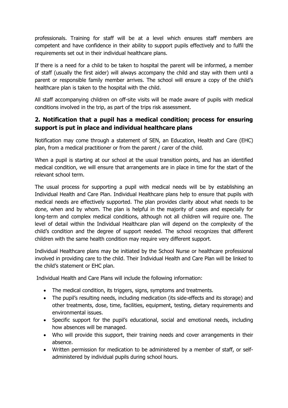professionals. Training for staff will be at a level which ensures staff members are competent and have confidence in their ability to support pupils effectively and to fulfil the requirements set out in their individual healthcare plans.

If there is a need for a child to be taken to hospital the parent will be informed, a member of staff (usually the first aider) will always accompany the child and stay with them until a parent or responsible family member arrives. The school will ensure a copy of the child's healthcare plan is taken to the hospital with the child.

All staff accompanying children on off-site visits will be made aware of pupils with medical conditions involved in the trip, as part of the trips risk assessment.

#### **2. Notification that a pupil has a medical condition; process for ensuring support is put in place and individual healthcare plans**

Notification may come through a statement of SEN, an Education, Health and Care (EHC) plan, from a medical practitioner or from the parent / carer of the child.

When a pupil is starting at our school at the usual transition points, and has an identified medical condition, we will ensure that arrangements are in place in time for the start of the relevant school term.

The usual process for supporting a pupil with medical needs will be by establishing an Individual Health and Care Plan. Individual Healthcare plans help to ensure that pupils with medical needs are effectively supported. The plan provides clarity about what needs to be done, when and by whom. The plan is helpful in the majority of cases and especially for long-term and complex medical conditions, although not all children will require one. The level of detail within the Individual Healthcare plan will depend on the complexity of the child's condition and the degree of support needed. The school recognizes that different children with the same health condition may require very different support.

Individual Healthcare plans may be initiated by the School Nurse or healthcare professional involved in providing care to the child. Their Individual Health and Care Plan will be linked to the child's statement or EHC plan.

Individual Health and Care Plans will include the following information:

- The medical condition, its triggers, signs, symptoms and treatments.
- The pupil's resulting needs, including medication (its side-effects and its storage) and other treatments, dose, time, facilities, equipment, testing, dietary requirements and environmental issues.
- Specific support for the pupil's educational, social and emotional needs, including how absences will be managed.
- Who will provide this support, their training needs and cover arrangements in their absence.
- Written permission for medication to be administered by a member of staff, or selfadministered by individual pupils during school hours.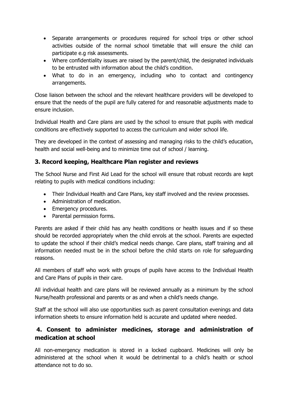- Separate arrangements or procedures required for school trips or other school activities outside of the normal school timetable that will ensure the child can participate e.g risk assessments.
- Where confidentiality issues are raised by the parent/child, the designated individuals to be entrusted with information about the child's condition.
- What to do in an emergency, including who to contact and contingency arrangements.

Close liaison between the school and the relevant healthcare providers will be developed to ensure that the needs of the pupil are fully catered for and reasonable adjustments made to ensure inclusion.

Individual Health and Care plans are used by the school to ensure that pupils with medical conditions are effectively supported to access the curriculum and wider school life.

They are developed in the context of assessing and managing risks to the child's education, health and social well-being and to minimize time out of school / learning.

#### **3. Record keeping, Healthcare Plan register and reviews**

The School Nurse and First Aid Lead for the school will ensure that robust records are kept relating to pupils with medical conditions including:

- Their Individual Health and Care Plans, key staff involved and the review processes.
- Administration of medication.
- Emergency procedures.
- Parental permission forms.

Parents are asked if their child has any health conditions or health issues and if so these should be recorded appropriately when the child enrols at the school. Parents are expected to update the school if their child's medical needs change. Care plans, staff training and all information needed must be in the school before the child starts on role for safeguarding reasons.

All members of staff who work with groups of pupils have access to the Individual Health and Care Plans of pupils in their care.

All individual health and care plans will be reviewed annually as a minimum by the school Nurse/health professional and parents or as and when a child's needs change.

Staff at the school will also use opportunities such as parent consultation evenings and data information sheets to ensure information held is accurate and updated where needed.

#### **4. Consent to administer medicines, storage and administration of medication at school**

All non-emergency medication is stored in a locked cupboard. Medicines will only be administered at the school when it would be detrimental to a child's health or school attendance not to do so.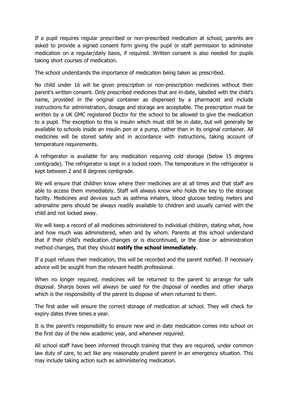If a pupil requires regular prescribed or non-prescribed medication at school, parents are asked to provide a signed consent form giving the pupil or staff permission to administer medication on a regular/daily basis, if required. Written consent is also needed for pupils taking short courses of medication.

The school understands the importance of medication being taken as prescribed.

No child under 16 will be given prescription or non-prescription medicines without their parent's written consent. Only prescribed medicines that are in-date, labelled with the child's name, provided in the original container as dispensed by a pharmacist and include instructions for administration, dosage and storage are acceptable. The prescription must be written by a UK GMC registered Doctor for the school to be allowed to give the medication to a pupil. The exception to this is insulin which must still be in date, but will generally be available to schools inside an insulin pen or a pump, rather than in its original container. All medicines will be stored safely and in accordance with instructions, taking account of temperature requirements.

A refrigerator is available for any medication requiring cold storage (below 15 degrees centigrade). The refrigerator is kept in a locked room. The temperature in the refrigerator is kept between 2 and 8 degrees centigrade.

We will ensure that children know where their medicines are at all times and that staff are able to access them immediately. Staff will always know who holds the key to the storage facility. Medicines and devices such as asthma inhalers, blood glucose testing meters and adrenaline pens should be always readily available to children and usually carried with the child and not locked away.

We will keep a record of all medicines administered to individual children, stating what, how and how much was administered, when and by whom. Parents at this school understand that if their child's medication changes or is discontinued, or the dose or administration method changes, that they should **notify the school immediately**.

If a pupil refuses their medication, this will be recorded and the parent notified. If necessary advice will be sought from the relevant health professional.

When no longer required, medicines will be returned to the parent to arrange for safe disposal. Sharps boxes will always be used for the disposal of needles and other sharps which is the responsibility of the parent to dispose of when returned to them.

The first aider will ensure the correct storage of medication at school. They will check for expiry dates three times a year.

It is the parent's responsibility to ensure new and in date medication comes into school on the first day of the new academic year, and whenever required.

All school staff have been informed through training that they are required, under common law duty of care, to act like any reasonably prudent parent in an emergency situation. This may include taking action such as administering medication.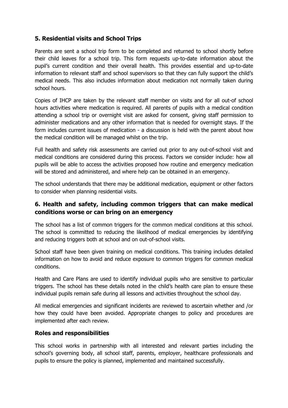#### **5. Residential visits and School Trips**

Parents are sent a school trip form to be completed and returned to school shortly before their child leaves for a school trip. This form requests up-to-date information about the pupil's current condition and their overall health. This provides essential and up-to-date information to relevant staff and school supervisors so that they can fully support the child's medical needs. This also includes information about medication not normally taken during school hours.

Copies of IHCP are taken by the relevant staff member on visits and for all out-of school hours activities where medication is required. All parents of pupils with a medical condition attending a school trip or overnight visit are asked for consent, giving staff permission to administer medications and any other information that is needed for overnight stays. If the form includes current issues of medication - a discussion is held with the parent about how the medical condition will be managed whilst on the trip.

Full health and safety risk assessments are carried out prior to any out-of-school visit and medical conditions are considered during this process. Factors we consider include: how all pupils will be able to access the activities proposed how routine and emergency medication will be stored and administered, and where help can be obtained in an emergency.

The school understands that there may be additional medication, equipment or other factors to consider when planning residential visits.

#### **6. Health and safety, including common triggers that can make medical conditions worse or can bring on an emergency**

The school has a list of common triggers for the common medical conditions at this school. The school is committed to reducing the likelihood of medical emergencies by identifying and reducing triggers both at school and on out-of-school visits.

School staff have been given training on medical conditions. This training includes detailed information on how to avoid and reduce exposure to common triggers for common medical conditions.

Health and Care Plans are used to identify individual pupils who are sensitive to particular triggers. The school has these details noted in the child's health care plan to ensure these individual pupils remain safe during all lessons and activities throughout the school day.

All medical emergencies and significant incidents are reviewed to ascertain whether and /or how they could have been avoided. Appropriate changes to policy and procedures are implemented after each review.

#### **Roles and responsibilities**

This school works in partnership with all interested and relevant parties including the school's governing body, all school staff, parents, employer, healthcare professionals and pupils to ensure the policy is planned, implemented and maintained successfully.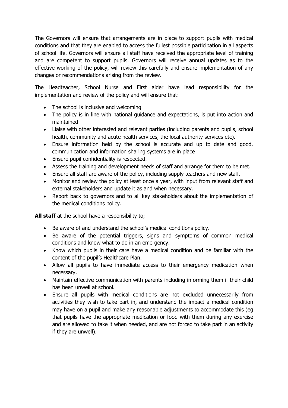The Governors will ensure that arrangements are in place to support pupils with medical conditions and that they are enabled to access the fullest possible participation in all aspects of school life. Governors will ensure all staff have received the appropriate level of training and are competent to support pupils. Governors will receive annual updates as to the effective working of the policy, will review this carefully and ensure implementation of any changes or recommendations arising from the review.

The Headteacher, School Nurse and First aider have lead responsibility for the implementation and review of the policy and will ensure that:

- The school is inclusive and welcoming
- The policy is in line with national guidance and expectations, is put into action and maintained
- Liaise with other interested and relevant parties (including parents and pupils, school health, community and acute health services, the local authority services etc).
- Ensure information held by the school is accurate and up to date and good. communication and information sharing systems are in place
- Ensure pupil confidentiality is respected.
- Assess the training and development needs of staff and arrange for them to be met.
- Ensure all staff are aware of the policy, including supply teachers and new staff.
- Monitor and review the policy at least once a year, with input from relevant staff and external stakeholders and update it as and when necessary.
- Report back to governors and to all key stakeholders about the implementation of the medical conditions policy.

**All staff** at the school have a responsibility to:

- Be aware of and understand the school's medical conditions policy.
- Be aware of the potential triggers, signs and symptoms of common medical conditions and know what to do in an emergency.
- Know which pupils in their care have a medical condition and be familiar with the content of the pupil's Healthcare Plan.
- Allow all pupils to have immediate access to their emergency medication when necessary.
- Maintain effective communication with parents including informing them if their child has been unwell at school.
- Ensure all pupils with medical conditions are not excluded unnecessarily from activities they wish to take part in, and understand the impact a medical condition may have on a pupil and make any reasonable adjustments to accommodate this (eg that pupils have the appropriate medication or food with them during any exercise and are allowed to take it when needed, and are not forced to take part in an activity if they are unwell).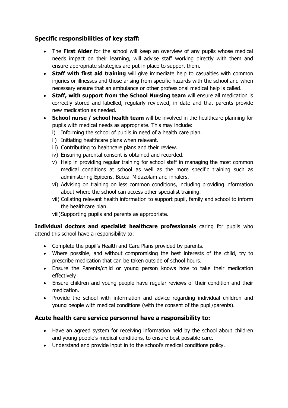#### **Specific responsibilities of key staff:**

- The **First Aider** for the school will keep an overview of any pupils whose medical needs impact on their learning, will advise staff working directly with them and ensure appropriate strategies are put in place to support them.
- **Staff with first aid training** will give immediate help to casualties with common injuries or illnesses and those arising from specific hazards with the school and when necessary ensure that an ambulance or other professional medical help is called.
- **Staff, with support from the School Nursing team** will ensure all medication is correctly stored and labelled, regularly reviewed, in date and that parents provide new medication as needed.
- **School nurse / school health team** will be involved in the healthcare planning for pupils with medical needs as appropriate. This may include:
	- i) Informing the school of pupils in need of a health care plan.
	- ii) Initiating healthcare plans when relevant.
	- iii) Contributing to healthcare plans and their review.
	- iv) Ensuring parental consent is obtained and recorded.
	- v) Help in providing regular training for school staff in managing the most common medical conditions at school as well as the more specific training such as administering Epipens, Buccal Midazolam and inhalers.
	- vi) Advising on training on less common conditions, including providing information about where the school can access other specialist training.
	- vii) Collating relevant health information to support pupil, family and school to inform the healthcare plan.
	- viii)Supporting pupils and parents as appropriate.

**Individual doctors and specialist healthcare professionals** caring for pupils who attend this school have a responsibility to:

- Complete the pupil's Health and Care Plans provided by parents.
- Where possible, and without compromising the best interests of the child, try to prescribe medication that can be taken outside of school hours.
- Ensure the Parents/child or young person knows how to take their medication effectively
- Ensure children and young people have regular reviews of their condition and their medication.
- Provide the school with information and advice regarding individual children and young people with medical conditions (with the consent of the pupil/parents).

#### **Acute health care service personnel have a responsibility to:**

- Have an agreed system for receiving information held by the school about children and young people's medical conditions, to ensure best possible care.
- Understand and provide input in to the school's medical conditions policy.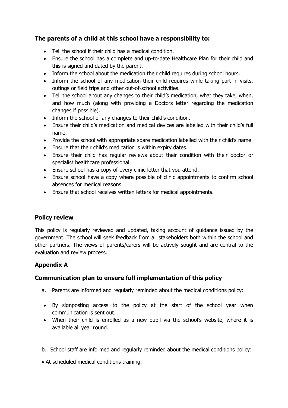#### **The parents of a child at this school have a responsibility to:**

- Tell the school if their child has a medical condition.
- Ensure the school has a complete and up-to-date Healthcare Plan for their child and this is signed and dated by the parent.
- Inform the school about the medication their child requires during school hours.
- Inform the school of any medication their child requires while taking part in visits, outings or field trips and other out-of-school activities.
- Tell the school about any changes to their child's medication, what they take, when, and how much (along with providing a Doctors letter regarding the medication changes if possible).
- Inform the school of any changes to their child's condition.
- Ensure their child's medication and medical devices are labelled with their child's full name.
- Provide the school with appropriate spare medication labelled with their child's name
- Ensure that their child's medication is within expiry dates.
- Ensure their child has regular reviews about their condition with their doctor or specialist healthcare professional.
- Ensure school has a copy of every clinic letter that you attend.
- Ensure school have a copy where possible of clinic appointments to confirm school absences for medical reasons.
- Ensure that school receives written letters for medical appointments.

#### **Policy review**

This policy is regularly reviewed and updated, taking account of guidance issued by the government. The school will seek feedback from all stakeholders both within the school and other partners. The views of parents/carers will be actively sought and are central to the evaluation and review process.

#### **Appendix A**

#### **Communication plan to ensure full implementation of this policy**

- a. Parents are informed and regularly reminded about the medical conditions policy:
- By signposting access to the policy at the start of the school year when communication is sent out.
- When their child is enrolled as a new pupil via the school's website, where it is available all year round.
- b. School staff are informed and regularly reminded about the medical conditions policy:
- At scheduled medical conditions training.